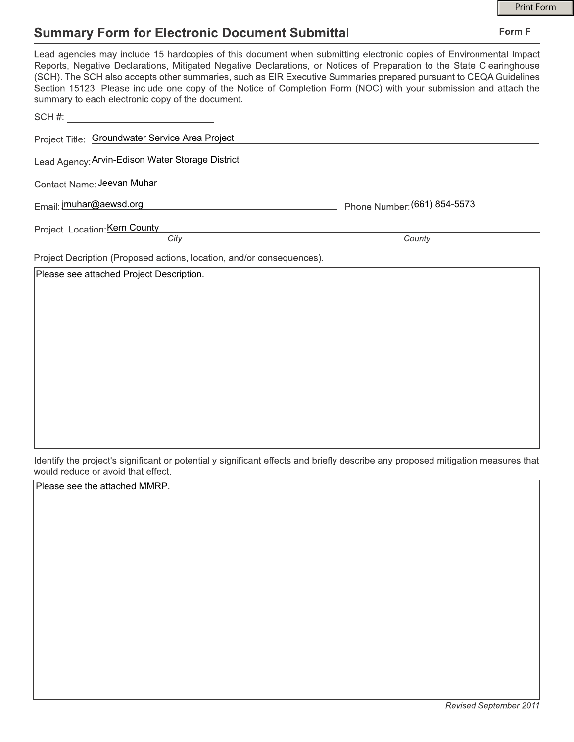Form F

### **Summary Form for Electronic Document Submittal**

| summary to each electronic copy of the document.                      | Lead agencies may include 15 hardcopies of this document when submitting electronic copies of Environmental Impact<br>Reports, Negative Declarations, Mitigated Negative Declarations, or Notices of Preparation to the State Clearinghouse<br>(SCH). The SCH also accepts other summaries, such as EIR Executive Summaries prepared pursuant to CEQA Guidelines<br>Section 15123. Please include one copy of the Notice of Completion Form (NOC) with your submission and attach the |
|-----------------------------------------------------------------------|---------------------------------------------------------------------------------------------------------------------------------------------------------------------------------------------------------------------------------------------------------------------------------------------------------------------------------------------------------------------------------------------------------------------------------------------------------------------------------------|
| $SCH \#$ :                                                            |                                                                                                                                                                                                                                                                                                                                                                                                                                                                                       |
| Project Title: Groundwater Service Area Project                       |                                                                                                                                                                                                                                                                                                                                                                                                                                                                                       |
| Lead Agency: Arvin-Edison Water Storage District                      |                                                                                                                                                                                                                                                                                                                                                                                                                                                                                       |
| Contact Name: Jeevan Muhar                                            |                                                                                                                                                                                                                                                                                                                                                                                                                                                                                       |
| Email: jmuhar@aewsd.org                                               | Phone Number: (661) 854-5573                                                                                                                                                                                                                                                                                                                                                                                                                                                          |
| Project Location: Kern County<br>City                                 | County                                                                                                                                                                                                                                                                                                                                                                                                                                                                                |
| Project Decription (Proposed actions, location, and/or consequences). |                                                                                                                                                                                                                                                                                                                                                                                                                                                                                       |
| Please see attached Project Description.                              |                                                                                                                                                                                                                                                                                                                                                                                                                                                                                       |

Identify the project's significant or potentially significant effects and briefly describe any proposed mitigation measures that would reduce or avoid that effect.

Please see the attached MMRP.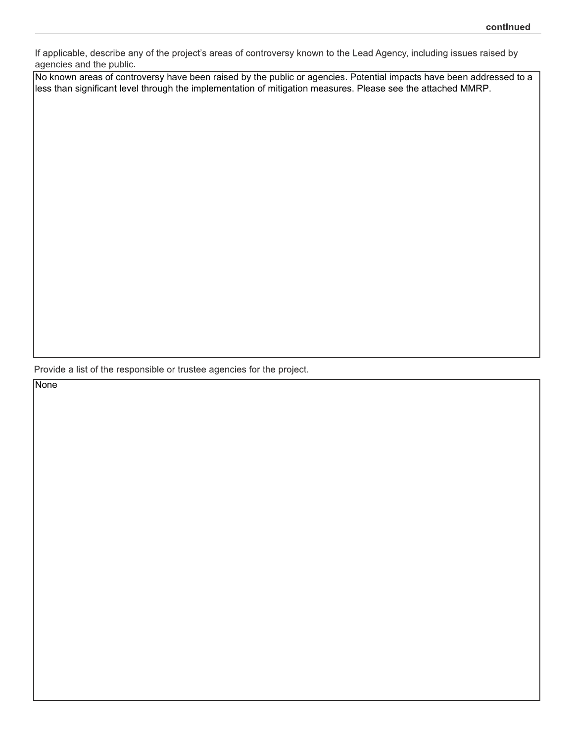If applicable, describe any of the project's areas of controversy known to the Lead Agency, including issues raised by agencies and the public.

No known areas of controversy have been raised by the public or agencies. Potential impacts have been addressed to a less than significant level through the implementation of mitigation measures. Please see the attached MMRP.

Provide a list of the responsible or trustee agencies for the project.

**None**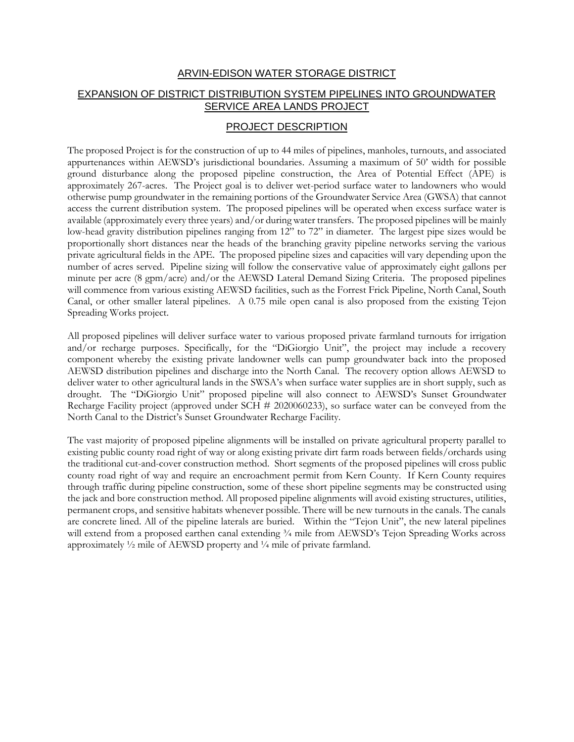#### ARVIN-EDISON WATER STORAGE DISTRICT EXPANSION OF DISTRICT DISTRIBUTION SYSTEM PIPELINES INTO GROUNDWATER SERVICE AREA LANDS PROJECT

#### PROJECT DESCRIPTION

The proposed Project is for the construction of up to 44 miles of pipelines, manholes, turnouts, and associated appurtenances within AEWSD's jurisdictional boundaries. Assuming a maximum of 50' width for possible ground disturbance along the proposed pipeline construction, the Area of Potential Effect (APE) is approximately 267-acres. The Project goal is to deliver wet-period surface water to landowners who would otherwise pump groundwater in the remaining portions of the Groundwater Service Area (GWSA) that cannot access the current distribution system. The proposed pipelines will be operated when excess surface water is available (approximately every three years) and/or during water transfers. The proposed pipelines will be mainly low-head gravity distribution pipelines ranging from 12" to 72" in diameter. The largest pipe sizes would be proportionally short distances near the heads of the branching gravity pipeline networks serving the various private agricultural fields in the APE. The proposed pipeline sizes and capacities will vary depending upon the number of acres served. Pipeline sizing will follow the conservative value of approximately eight gallons per minute per acre (8 gpm/acre) and/or the AEWSD Lateral Demand Sizing Criteria. The proposed pipelines will commence from various existing AEWSD facilities, such as the Forrest Frick Pipeline, North Canal, South Canal, or other smaller lateral pipelines. A 0.75 mile open canal is also proposed from the existing Tejon Spreading Works project.

All proposed pipelines will deliver surface water to various proposed private farmland turnouts for irrigation and/or recharge purposes. Specifically, for the "DiGiorgio Unit", the project may include a recovery component whereby the existing private landowner wells can pump groundwater back into the proposed AEWSD distribution pipelines and discharge into the North Canal. The recovery option allows AEWSD to deliver water to other agricultural lands in the SWSA's when surface water supplies are in short supply, such as drought. The "DiGiorgio Unit" proposed pipeline will also connect to AEWSD's Sunset Groundwater Recharge Facility project (approved under SCH # 2020060233), so surface water can be conveyed from the North Canal to the District's Sunset Groundwater Recharge Facility.

The vast majority of proposed pipeline alignments will be installed on private agricultural property parallel to existing public county road right of way or along existing private dirt farm roads between fields/orchards using the traditional cut-and-cover construction method. Short segments of the proposed pipelines will cross public county road right of way and require an encroachment permit from Kern County. If Kern County requires through traffic during pipeline construction, some of these short pipeline segments may be constructed using the jack and bore construction method. All proposed pipeline alignments will avoid existing structures, utilities, permanent crops, and sensitive habitats whenever possible. There will be new turnouts in the canals. The canals are concrete lined. All of the pipeline laterals are buried. Within the "Tejon Unit", the new lateral pipelines will extend from a proposed earthen canal extending  $\frac{3}{4}$  mile from AEWSD's Tejon Spreading Works across approximately  $\frac{1}{2}$  mile of AEWSD property and  $\frac{1}{4}$  mile of private farmland.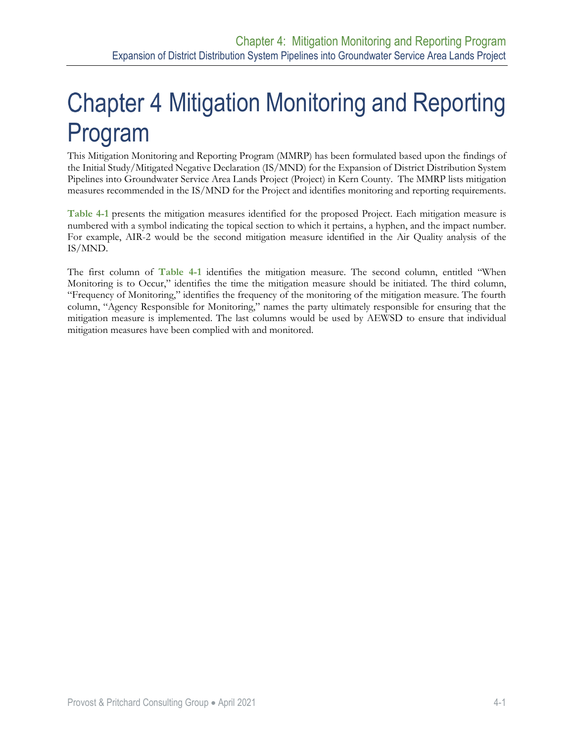This Mitigation Monitoring and Reporting Program (MMRP) has been formulated based upon the findings of the Initial Study/Mitigated Negative Declaration (IS/MND) for the Expansion of District Distribution System Pipelines into Groundwater Service Area Lands Project (Project) in Kern County. The MMRP lists mitigation measures recommended in the IS/MND for the Project and identifies monitoring and reporting requirements.

**[Table 4-1](#page-4-0)** presents the mitigation measures identified for the proposed Project. Each mitigation measure is numbered with a symbol indicating the topical section to which it pertains, a hyphen, and the impact number. For example, AIR-2 would be the second mitigation measure identified in the Air Quality analysis of the IS/MND.

The first column of **[Table 4-1](#page-4-0)** identifies the mitigation measure. The second column, entitled "When Monitoring is to Occur," identifies the time the mitigation measure should be initiated. The third column, "Frequency of Monitoring," identifies the frequency of the monitoring of the mitigation measure. The fourth column, "Agency Responsible for Monitoring," names the party ultimately responsible for ensuring that the mitigation measure is implemented. The last columns would be used by AEWSD to ensure that individual mitigation measures have been complied with and monitored.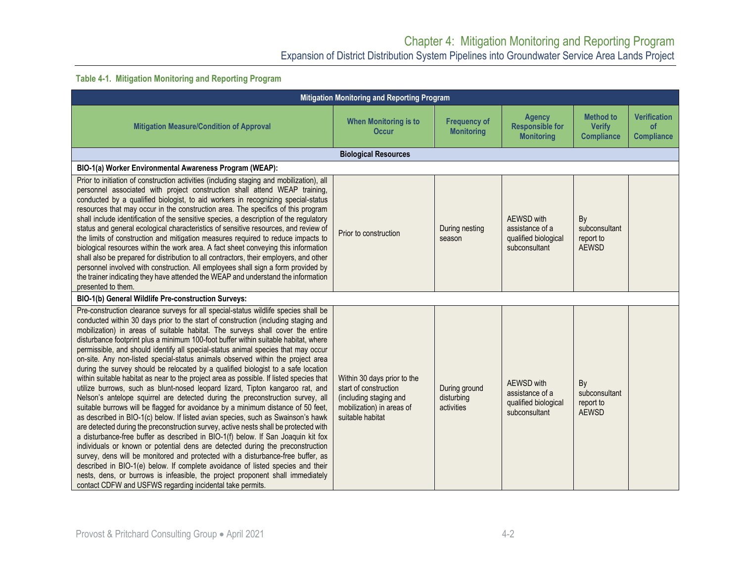#### **Table 4-1. Mitigation Monitoring and Reporting Program**

<span id="page-4-0"></span>

| Mitigation Monitoring and Reporting Program                                                                                                                                                                                                                                                                                                                                                                                                                                                                                                                                                                                                                                                                                                                                                                                                                                                                                                                                                                                                                                                                                                                                                                                                                                                                                                                                                                                                                                                                                                                                                                                             |                                                                                                                                 |                                           |                                                                               |                                                        |                                                       |
|-----------------------------------------------------------------------------------------------------------------------------------------------------------------------------------------------------------------------------------------------------------------------------------------------------------------------------------------------------------------------------------------------------------------------------------------------------------------------------------------------------------------------------------------------------------------------------------------------------------------------------------------------------------------------------------------------------------------------------------------------------------------------------------------------------------------------------------------------------------------------------------------------------------------------------------------------------------------------------------------------------------------------------------------------------------------------------------------------------------------------------------------------------------------------------------------------------------------------------------------------------------------------------------------------------------------------------------------------------------------------------------------------------------------------------------------------------------------------------------------------------------------------------------------------------------------------------------------------------------------------------------------|---------------------------------------------------------------------------------------------------------------------------------|-------------------------------------------|-------------------------------------------------------------------------------|--------------------------------------------------------|-------------------------------------------------------|
| <b>Mitigation Measure/Condition of Approval</b>                                                                                                                                                                                                                                                                                                                                                                                                                                                                                                                                                                                                                                                                                                                                                                                                                                                                                                                                                                                                                                                                                                                                                                                                                                                                                                                                                                                                                                                                                                                                                                                         | <b>When Monitoring is to</b><br><b>Occur</b>                                                                                    | <b>Frequency of</b><br><b>Monitoring</b>  | <b>Agency</b><br><b>Responsible for</b><br><b>Monitoring</b>                  | <b>Method to</b><br><b>Verify</b><br><b>Compliance</b> | <b>Verification</b><br><b>of</b><br><b>Compliance</b> |
|                                                                                                                                                                                                                                                                                                                                                                                                                                                                                                                                                                                                                                                                                                                                                                                                                                                                                                                                                                                                                                                                                                                                                                                                                                                                                                                                                                                                                                                                                                                                                                                                                                         | <b>Biological Resources</b>                                                                                                     |                                           |                                                                               |                                                        |                                                       |
| BIO-1(a) Worker Environmental Awareness Program (WEAP):                                                                                                                                                                                                                                                                                                                                                                                                                                                                                                                                                                                                                                                                                                                                                                                                                                                                                                                                                                                                                                                                                                                                                                                                                                                                                                                                                                                                                                                                                                                                                                                 |                                                                                                                                 |                                           |                                                                               |                                                        |                                                       |
| Prior to initiation of construction activities (including staging and mobilization), all<br>personnel associated with project construction shall attend WEAP training,<br>conducted by a qualified biologist, to aid workers in recognizing special-status<br>resources that may occur in the construction area. The specifics of this program<br>shall include identification of the sensitive species, a description of the regulatory<br>status and general ecological characteristics of sensitive resources, and review of<br>the limits of construction and mitigation measures required to reduce impacts to<br>biological resources within the work area. A fact sheet conveying this information<br>shall also be prepared for distribution to all contractors, their employers, and other<br>personnel involved with construction. All employees shall sign a form provided by<br>the trainer indicating they have attended the WEAP and understand the information<br>presented to them.                                                                                                                                                                                                                                                                                                                                                                                                                                                                                                                                                                                                                                     | Prior to construction                                                                                                           | During nesting<br>season                  | <b>AEWSD</b> with<br>assistance of a<br>qualified biological<br>subconsultant | By<br>subconsultant<br>report to<br><b>AEWSD</b>       |                                                       |
| BIO-1(b) General Wildlife Pre-construction Surveys:                                                                                                                                                                                                                                                                                                                                                                                                                                                                                                                                                                                                                                                                                                                                                                                                                                                                                                                                                                                                                                                                                                                                                                                                                                                                                                                                                                                                                                                                                                                                                                                     |                                                                                                                                 |                                           |                                                                               |                                                        |                                                       |
| Pre-construction clearance surveys for all special-status wildlife species shall be<br>conducted within 30 days prior to the start of construction (including staging and<br>mobilization) in areas of suitable habitat. The surveys shall cover the entire<br>disturbance footprint plus a minimum 100-foot buffer within suitable habitat, where<br>permissible, and should identify all special-status animal species that may occur<br>on-site. Any non-listed special-status animals observed within the project area<br>during the survey should be relocated by a qualified biologist to a safe location<br>within suitable habitat as near to the project area as possible. If listed species that<br>utilize burrows, such as blunt-nosed leopard lizard, Tipton kangaroo rat, and<br>Nelson's antelope squirrel are detected during the preconstruction survey, all<br>suitable burrows will be flagged for avoidance by a minimum distance of 50 feet,<br>as described in BIO-1(c) below. If listed avian species, such as Swainson's hawk<br>are detected during the preconstruction survey, active nests shall be protected with<br>a disturbance-free buffer as described in BIO-1(f) below. If San Joaquin kit fox<br>individuals or known or potential dens are detected during the preconstruction<br>survey, dens will be monitored and protected with a disturbance-free buffer, as<br>described in BIO-1(e) below. If complete avoidance of listed species and their<br>nests, dens, or burrows is infeasible, the project proponent shall immediately<br>contact CDFW and USFWS regarding incidental take permits. | Within 30 days prior to the<br>start of construction<br>(including staging and<br>mobilization) in areas of<br>suitable habitat | During ground<br>disturbing<br>activities | <b>AEWSD</b> with<br>assistance of a<br>qualified biological<br>subconsultant | By<br>subconsultant<br>report to<br><b>AEWSD</b>       |                                                       |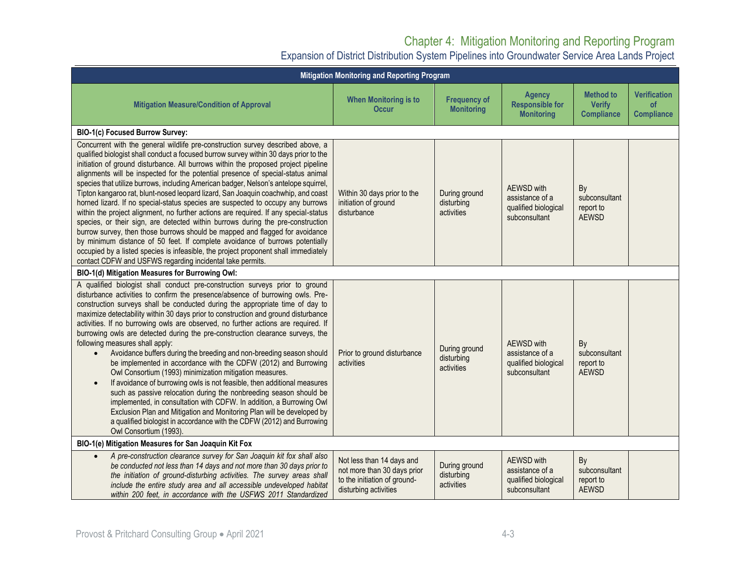| Mitigation Monitoring and Reporting Program                                                                                                                                                                                                                                                                                                                                                                                                                                                                                                                                                                                                                                                                                                                                                                                                                                                                                                                                                                                                                                                                                                                                              |                                                                                                                   |                                           |                                                                               |                                                        |                                                       |
|------------------------------------------------------------------------------------------------------------------------------------------------------------------------------------------------------------------------------------------------------------------------------------------------------------------------------------------------------------------------------------------------------------------------------------------------------------------------------------------------------------------------------------------------------------------------------------------------------------------------------------------------------------------------------------------------------------------------------------------------------------------------------------------------------------------------------------------------------------------------------------------------------------------------------------------------------------------------------------------------------------------------------------------------------------------------------------------------------------------------------------------------------------------------------------------|-------------------------------------------------------------------------------------------------------------------|-------------------------------------------|-------------------------------------------------------------------------------|--------------------------------------------------------|-------------------------------------------------------|
| <b>Mitigation Measure/Condition of Approval</b>                                                                                                                                                                                                                                                                                                                                                                                                                                                                                                                                                                                                                                                                                                                                                                                                                                                                                                                                                                                                                                                                                                                                          | <b>When Monitoring is to</b><br><b>Occur</b>                                                                      | <b>Frequency of</b><br><b>Monitoring</b>  | <b>Agency</b><br><b>Responsible for</b><br><b>Monitoring</b>                  | <b>Method to</b><br><b>Verify</b><br><b>Compliance</b> | <b>Verification</b><br><b>of</b><br><b>Compliance</b> |
| BIO-1(c) Focused Burrow Survey:                                                                                                                                                                                                                                                                                                                                                                                                                                                                                                                                                                                                                                                                                                                                                                                                                                                                                                                                                                                                                                                                                                                                                          |                                                                                                                   |                                           |                                                                               |                                                        |                                                       |
| Concurrent with the general wildlife pre-construction survey described above, a<br>qualified biologist shall conduct a focused burrow survey within 30 days prior to the<br>initiation of ground disturbance. All burrows within the proposed project pipeline<br>alignments will be inspected for the potential presence of special-status animal<br>species that utilize burrows, including American badger, Nelson's antelope squirrel,<br>Tipton kangaroo rat, blunt-nosed leopard lizard, San Joaquin coachwhip, and coast<br>horned lizard. If no special-status species are suspected to occupy any burrows<br>within the project alignment, no further actions are required. If any special-status<br>species, or their sign, are detected within burrows during the pre-construction<br>burrow survey, then those burrows should be mapped and flagged for avoidance<br>by minimum distance of 50 feet. If complete avoidance of burrows potentially<br>occupied by a listed species is infeasible, the project proponent shall immediately<br>contact CDFW and USFWS regarding incidental take permits.                                                                        | Within 30 days prior to the<br>initiation of ground<br>disturbance                                                | During ground<br>disturbing<br>activities | <b>AEWSD</b> with<br>assistance of a<br>qualified biological<br>subconsultant | By<br>subconsultant<br>report to<br><b>AEWSD</b>       |                                                       |
| BIO-1(d) Mitigation Measures for Burrowing Owl:                                                                                                                                                                                                                                                                                                                                                                                                                                                                                                                                                                                                                                                                                                                                                                                                                                                                                                                                                                                                                                                                                                                                          |                                                                                                                   |                                           |                                                                               |                                                        |                                                       |
| A qualified biologist shall conduct pre-construction surveys prior to ground<br>disturbance activities to confirm the presence/absence of burrowing owls. Pre-<br>construction surveys shall be conducted during the appropriate time of day to<br>maximize detectability within 30 days prior to construction and ground disturbance<br>activities. If no burrowing owls are observed, no further actions are required. If<br>burrowing owls are detected during the pre-construction clearance surveys, the<br>following measures shall apply:<br>Avoidance buffers during the breeding and non-breeding season should<br>$\bullet$<br>be implemented in accordance with the CDFW (2012) and Burrowing<br>Owl Consortium (1993) minimization mitigation measures.<br>If avoidance of burrowing owls is not feasible, then additional measures<br>$\bullet$<br>such as passive relocation during the nonbreeding season should be<br>implemented, in consultation with CDFW. In addition, a Burrowing Owl<br>Exclusion Plan and Mitigation and Monitoring Plan will be developed by<br>a qualified biologist in accordance with the CDFW (2012) and Burrowing<br>Owl Consortium (1993). | Prior to ground disturbance<br>activities                                                                         | During ground<br>disturbing<br>activities | AEWSD with<br>assistance of a<br>qualified biological<br>subconsultant        | By<br>subconsultant<br>report to<br><b>AEWSD</b>       |                                                       |
| BIO-1(e) Mitigation Measures for San Joaquin Kit Fox                                                                                                                                                                                                                                                                                                                                                                                                                                                                                                                                                                                                                                                                                                                                                                                                                                                                                                                                                                                                                                                                                                                                     |                                                                                                                   |                                           |                                                                               |                                                        |                                                       |
| A pre-construction clearance survey for San Joaquin kit fox shall also<br>$\bullet$<br>be conducted not less than 14 days and not more than 30 days prior to<br>the initiation of ground-disturbing activities. The survey areas shall<br>include the entire study area and all accessible undeveloped habitat<br>within 200 feet, in accordance with the USFWS 2011 Standardized                                                                                                                                                                                                                                                                                                                                                                                                                                                                                                                                                                                                                                                                                                                                                                                                        | Not less than 14 days and<br>not more than 30 days prior<br>to the initiation of ground-<br>disturbing activities | During ground<br>disturbing<br>activities | AEWSD with<br>assistance of a<br>qualified biological<br>subconsultant        | By<br>subconsultant<br>report to<br><b>AEWSD</b>       |                                                       |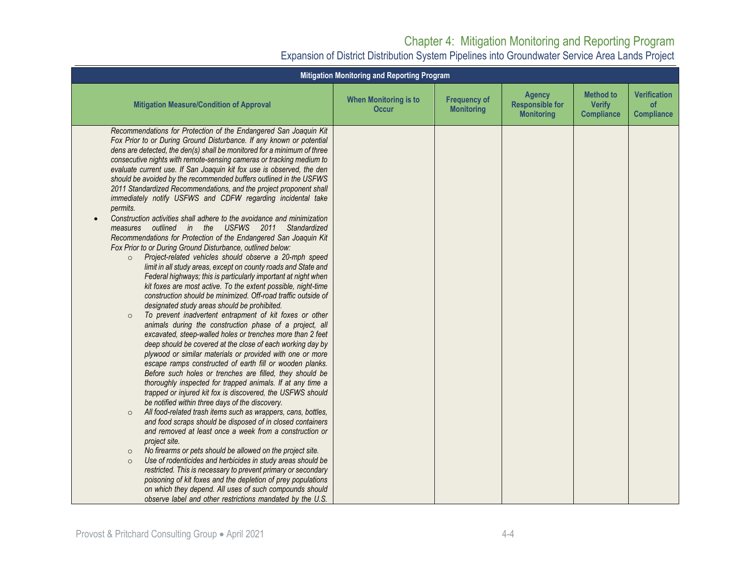| <b>Mitigation Monitoring and Reporting Program</b>                                                                                                                                                                                                                                                                                                                                                                                                                                                                                                                                                                                                                                                                                                                                                                                                                                                                                                                                                                                                                                                                                                                                                                                                                                                                                                                                                                                                                                                                                                                                                                                                                                                                                                                                                                                                                                                                                                                                                                                                                                                                                                                                                                                                                                                                                                                                                                                                                                                                           |                                              |                                          |                                                              |                                                        |                                                |  |
|------------------------------------------------------------------------------------------------------------------------------------------------------------------------------------------------------------------------------------------------------------------------------------------------------------------------------------------------------------------------------------------------------------------------------------------------------------------------------------------------------------------------------------------------------------------------------------------------------------------------------------------------------------------------------------------------------------------------------------------------------------------------------------------------------------------------------------------------------------------------------------------------------------------------------------------------------------------------------------------------------------------------------------------------------------------------------------------------------------------------------------------------------------------------------------------------------------------------------------------------------------------------------------------------------------------------------------------------------------------------------------------------------------------------------------------------------------------------------------------------------------------------------------------------------------------------------------------------------------------------------------------------------------------------------------------------------------------------------------------------------------------------------------------------------------------------------------------------------------------------------------------------------------------------------------------------------------------------------------------------------------------------------------------------------------------------------------------------------------------------------------------------------------------------------------------------------------------------------------------------------------------------------------------------------------------------------------------------------------------------------------------------------------------------------------------------------------------------------------------------------------------------------|----------------------------------------------|------------------------------------------|--------------------------------------------------------------|--------------------------------------------------------|------------------------------------------------|--|
| <b>Mitigation Measure/Condition of Approval</b>                                                                                                                                                                                                                                                                                                                                                                                                                                                                                                                                                                                                                                                                                                                                                                                                                                                                                                                                                                                                                                                                                                                                                                                                                                                                                                                                                                                                                                                                                                                                                                                                                                                                                                                                                                                                                                                                                                                                                                                                                                                                                                                                                                                                                                                                                                                                                                                                                                                                              | <b>When Monitoring is to</b><br><b>Occur</b> | <b>Frequency of</b><br><b>Monitoring</b> | <b>Agency</b><br><b>Responsible for</b><br><b>Monitoring</b> | <b>Method to</b><br><b>Verify</b><br><b>Compliance</b> | <b>Verification</b><br>of<br><b>Compliance</b> |  |
| Recommendations for Protection of the Endangered San Joaquin Kit<br>Fox Prior to or During Ground Disturbance. If any known or potential<br>dens are detected, the den(s) shall be monitored for a minimum of three<br>consecutive nights with remote-sensing cameras or tracking medium to<br>evaluate current use. If San Joaquin kit fox use is observed, the den<br>should be avoided by the recommended buffers outlined in the USFWS<br>2011 Standardized Recommendations, and the project proponent shall<br>immediately notify USFWS and CDFW regarding incidental take<br>permits.<br>Construction activities shall adhere to the avoidance and minimization<br>outlined in the USFWS 2011 Standardized<br>measures<br>Recommendations for Protection of the Endangered San Joaquin Kit<br>Fox Prior to or During Ground Disturbance, outlined below:<br>Project-related vehicles should observe a 20-mph speed<br>$\circ$<br>limit in all study areas, except on county roads and State and<br>Federal highways; this is particularly important at night when<br>kit foxes are most active. To the extent possible, night-time<br>construction should be minimized. Off-road traffic outside of<br>designated study areas should be prohibited.<br>To prevent inadvertent entrapment of kit foxes or other<br>$\circ$<br>animals during the construction phase of a project, all<br>excavated, steep-walled holes or trenches more than 2 feet<br>deep should be covered at the close of each working day by<br>plywood or similar materials or provided with one or more<br>escape ramps constructed of earth fill or wooden planks.<br>Before such holes or trenches are filled, they should be<br>thoroughly inspected for trapped animals. If at any time a<br>trapped or injured kit fox is discovered, the USFWS should<br>be notified within three days of the discovery.<br>All food-related trash items such as wrappers, cans, bottles,<br>$\circ$<br>and food scraps should be disposed of in closed containers<br>and removed at least once a week from a construction or<br>project site.<br>No firearms or pets should be allowed on the project site.<br>$\circ$<br>Use of rodenticides and herbicides in study areas should be<br>$\circ$<br>restricted. This is necessary to prevent primary or secondary<br>poisoning of kit foxes and the depletion of prey populations<br>on which they depend. All uses of such compounds should<br>observe label and other restrictions mandated by the U.S. |                                              |                                          |                                                              |                                                        |                                                |  |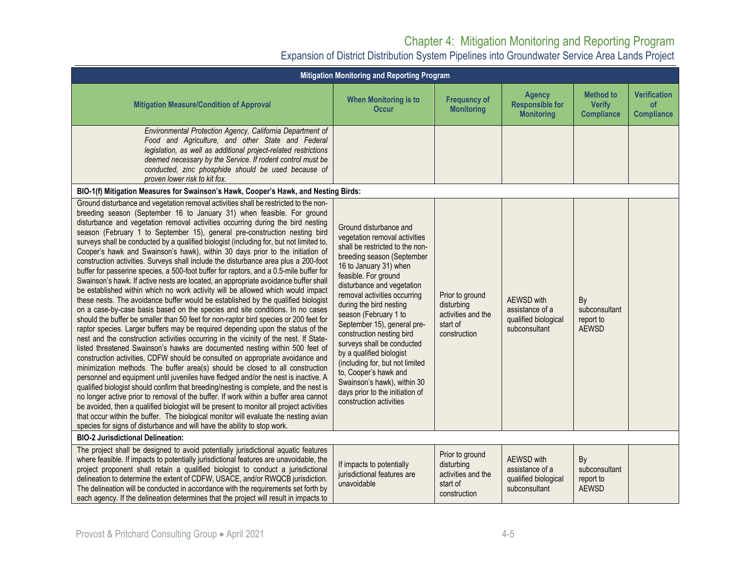| Mitigation Monitoring and Reporting Program                                                                                                                                                                                                                                                                                                                                                                                                                                                                                                                                                                                                                                                                                                                                                                                                                                                                                                                                                                                                                                                                                                                                                                                                                                                                                                                                                                                                                                                                                                                                                                                                                                                                                                                                                                                                                                                                                                                                                                                                                                                                  |                                                                                                                                                                                                                                                                                                                                                                                                                                                                                                                                                                             |                                                                                 |                                                                        |                                                        |                                                |
|--------------------------------------------------------------------------------------------------------------------------------------------------------------------------------------------------------------------------------------------------------------------------------------------------------------------------------------------------------------------------------------------------------------------------------------------------------------------------------------------------------------------------------------------------------------------------------------------------------------------------------------------------------------------------------------------------------------------------------------------------------------------------------------------------------------------------------------------------------------------------------------------------------------------------------------------------------------------------------------------------------------------------------------------------------------------------------------------------------------------------------------------------------------------------------------------------------------------------------------------------------------------------------------------------------------------------------------------------------------------------------------------------------------------------------------------------------------------------------------------------------------------------------------------------------------------------------------------------------------------------------------------------------------------------------------------------------------------------------------------------------------------------------------------------------------------------------------------------------------------------------------------------------------------------------------------------------------------------------------------------------------------------------------------------------------------------------------------------------------|-----------------------------------------------------------------------------------------------------------------------------------------------------------------------------------------------------------------------------------------------------------------------------------------------------------------------------------------------------------------------------------------------------------------------------------------------------------------------------------------------------------------------------------------------------------------------------|---------------------------------------------------------------------------------|------------------------------------------------------------------------|--------------------------------------------------------|------------------------------------------------|
| <b>Mitigation Measure/Condition of Approval</b>                                                                                                                                                                                                                                                                                                                                                                                                                                                                                                                                                                                                                                                                                                                                                                                                                                                                                                                                                                                                                                                                                                                                                                                                                                                                                                                                                                                                                                                                                                                                                                                                                                                                                                                                                                                                                                                                                                                                                                                                                                                              | <b>When Monitoring is to</b><br><b>Occur</b>                                                                                                                                                                                                                                                                                                                                                                                                                                                                                                                                | <b>Frequency of</b><br><b>Monitoring</b>                                        | <b>Agency</b><br><b>Responsible for</b><br><b>Monitoring</b>           | <b>Method to</b><br><b>Verify</b><br><b>Compliance</b> | <b>Verification</b><br>of<br><b>Compliance</b> |
| Environmental Protection Agency, California Department of<br>Food and Agriculture, and other State and Federal<br>legislation, as well as additional project-related restrictions<br>deemed necessary by the Service. If rodent control must be<br>conducted, zinc phosphide should be used because of<br>proven lower risk to kit fox.                                                                                                                                                                                                                                                                                                                                                                                                                                                                                                                                                                                                                                                                                                                                                                                                                                                                                                                                                                                                                                                                                                                                                                                                                                                                                                                                                                                                                                                                                                                                                                                                                                                                                                                                                                      |                                                                                                                                                                                                                                                                                                                                                                                                                                                                                                                                                                             |                                                                                 |                                                                        |                                                        |                                                |
| BIO-1(f) Mitigation Measures for Swainson's Hawk, Cooper's Hawk, and Nesting Birds:                                                                                                                                                                                                                                                                                                                                                                                                                                                                                                                                                                                                                                                                                                                                                                                                                                                                                                                                                                                                                                                                                                                                                                                                                                                                                                                                                                                                                                                                                                                                                                                                                                                                                                                                                                                                                                                                                                                                                                                                                          |                                                                                                                                                                                                                                                                                                                                                                                                                                                                                                                                                                             |                                                                                 |                                                                        |                                                        |                                                |
| Ground disturbance and vegetation removal activities shall be restricted to the non-<br>breeding season (September 16 to January 31) when feasible. For ground<br>disturbance and vegetation removal activities occurring during the bird nesting<br>season (February 1 to September 15), general pre-construction nesting bird<br>surveys shall be conducted by a qualified biologist (including for, but not limited to,<br>Cooper's hawk and Swainson's hawk), within 30 days prior to the initiation of<br>construction activities. Surveys shall include the disturbance area plus a 200-foot<br>buffer for passerine species, a 500-foot buffer for raptors, and a 0.5-mile buffer for<br>Swainson's hawk. If active nests are located, an appropriate avoidance buffer shall<br>be established within which no work activity will be allowed which would impact<br>these nests. The avoidance buffer would be established by the qualified biologist<br>on a case-by-case basis based on the species and site conditions. In no cases<br>should the buffer be smaller than 50 feet for non-raptor bird species or 200 feet for<br>raptor species. Larger buffers may be required depending upon the status of the<br>nest and the construction activities occurring in the vicinity of the nest. If State-<br>listed threatened Swainson's hawks are documented nesting within 500 feet of<br>construction activities, CDFW should be consulted on appropriate avoidance and<br>minimization methods. The buffer area(s) should be closed to all construction<br>personnel and equipment until juveniles have fledged and/or the nest is inactive. A<br>qualified biologist should confirm that breeding/nesting is complete, and the nest is<br>no longer active prior to removal of the buffer. If work within a buffer area cannot<br>be avoided, then a qualified biologist will be present to monitor all project activities<br>that occur within the buffer. The biological monitor will evaluate the nesting avian<br>species for signs of disturbance and will have the ability to stop work. | Ground disturbance and<br>vegetation removal activities<br>shall be restricted to the non-<br>breeding season (September<br>16 to January 31) when<br>feasible. For ground<br>disturbance and vegetation<br>removal activities occurring<br>during the bird nesting<br>season (February 1 to<br>September 15), general pre-<br>construction nesting bird<br>surveys shall be conducted<br>by a qualified biologist<br>(including for, but not limited<br>to, Cooper's hawk and<br>Swainson's hawk), within 30<br>days prior to the initiation of<br>construction activities | Prior to ground<br>disturbing<br>activities and the<br>start of<br>construction | AEWSD with<br>assistance of a<br>qualified biological<br>subconsultant | By<br>subconsultant<br>report to<br><b>AEWSD</b>       |                                                |
| <b>BIO-2 Jurisdictional Delineation:</b>                                                                                                                                                                                                                                                                                                                                                                                                                                                                                                                                                                                                                                                                                                                                                                                                                                                                                                                                                                                                                                                                                                                                                                                                                                                                                                                                                                                                                                                                                                                                                                                                                                                                                                                                                                                                                                                                                                                                                                                                                                                                     |                                                                                                                                                                                                                                                                                                                                                                                                                                                                                                                                                                             |                                                                                 |                                                                        |                                                        |                                                |
| The project shall be designed to avoid potentially jurisdictional aquatic features<br>where feasible. If impacts to potentially jurisdictional features are unavoidable, the<br>project proponent shall retain a qualified biologist to conduct a jurisdictional<br>delineation to determine the extent of CDFW, USACE, and/or RWQCB jurisdiction.<br>The delineation will be conducted in accordance with the requirements set forth by<br>each agency. If the delineation determines that the project will result in impacts to                                                                                                                                                                                                                                                                                                                                                                                                                                                                                                                                                                                                                                                                                                                                                                                                                                                                                                                                                                                                                                                                                                                                                                                                                                                                                                                                                                                                                                                                                                                                                                            | If impacts to potentially<br>jurisdictional features are<br>unavoidable                                                                                                                                                                                                                                                                                                                                                                                                                                                                                                     | Prior to ground<br>disturbing<br>activities and the<br>start of<br>construction | AEWSD with<br>assistance of a<br>qualified biological<br>subconsultant | By<br>subconsultant<br>report to<br><b>AEWSD</b>       |                                                |